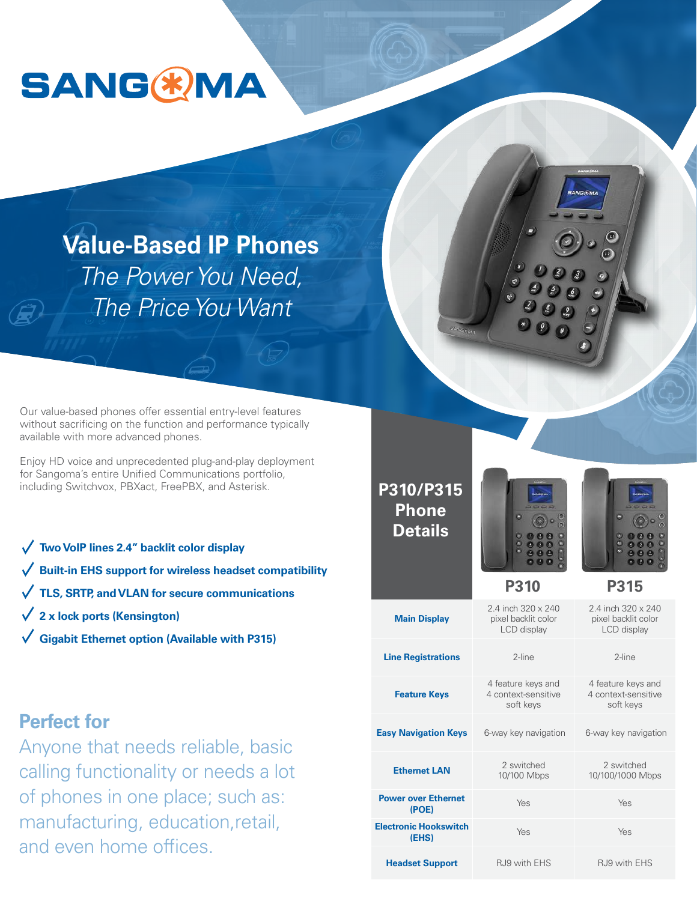

**Value-Based IP Phones** *The Power You Need, The Price You Want*

Our value-based phones offer essential entry-level features without sacrificing on the function and performance typically available with more advanced phones.

Enjoy HD voice and unprecedented plug-and-play deployment for Sangoma's entire Unified Communications portfolio, including Switchvox, PBXact, FreePBX, and Asterisk.

- **Two VoIP lines 2.4" backlit color display**
- **Built-in EHS support for wireless headset compatibility**
- **TLS, SRTP, and VLAN for secure communications**
- **2 x lock ports (Kensington)**
- **Gigabit Ethernet option (Available with P315)**



Yes Yes **Electronic Hookswitch** 

**Power over Ethernet** 

**(EHS)**

**Headset Support**

6-way key navigation 6-way key navigation

Yes Yes

RJ9 with EHS RJ9 with EHS

# **Perfect for**

Anyone that needs reliable, basic calling functionality or needs a lot of phones in one place; such as manufacturing, education, retail, and even home offices.